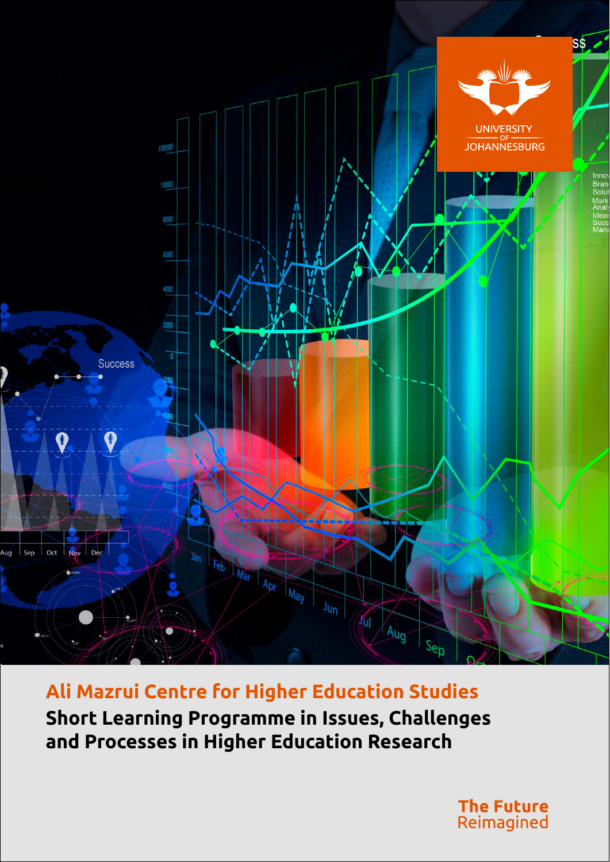

**Ali Mazrui Centre for Higher Education Studies Short Learning Programme in Issues, Challenges and Processes in Higher Education Research**

> **The Future** Reimagined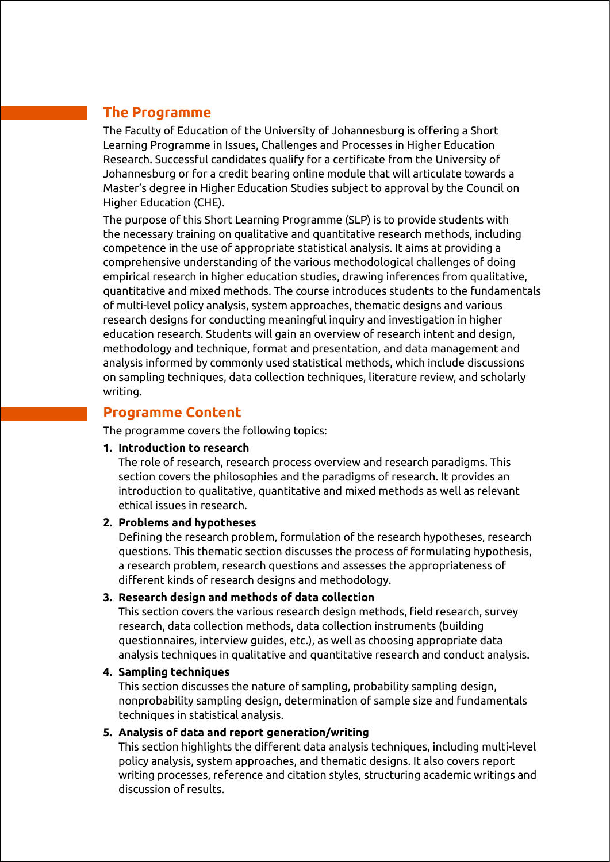## **The Programme**

The Faculty of Education of the University of Johannesburg is offering a Short Learning Programme in Issues, Challenges and Processes in Higher Education Research. Successful candidates qualify for a certificate from the University of Johannesburg or for a credit bearing online module that will articulate towards a Master's degree in Higher Education Studies subject to approval by the Council on Higher Education (CHE).

The purpose of this Short Learning Programme (SLP) is to provide students with the necessary training on qualitative and quantitative research methods, including competence in the use of appropriate statistical analysis. It aims at providing a comprehensive understanding of the various methodological challenges of doing empirical research in higher education studies, drawing inferences from qualitative, quantitative and mixed methods. The course introduces students to the fundamentals of multi-level policy analysis, system approaches, thematic designs and various research designs for conducting meaningful inquiry and investigation in higher education research. Students will gain an overview of research intent and design, methodology and technique, format and presentation, and data management and analysis informed by commonly used statistical methods, which include discussions on sampling techniques, data collection techniques, literature review, and scholarly writing.

#### **Programme Content**

The programme covers the following topics:

#### **1. Introduction to research**

The role of research, research process overview and research paradigms. This section covers the philosophies and the paradigms of research. It provides an introduction to qualitative, quantitative and mixed methods as well as relevant ethical issues in research.

#### **2. Problems and hypotheses**

Defining the research problem, formulation of the research hypotheses, research questions. This thematic section discusses the process of formulating hypothesis, a research problem, research questions and assesses the appropriateness of different kinds of research designs and methodology.

#### **3. Research design and methods of data collection**

This section covers the various research design methods, field research, survey research, data collection methods, data collection instruments (building questionnaires, interview guides, etc.), as well as choosing appropriate data analysis techniques in qualitative and quantitative research and conduct analysis.

#### **4. Sampling techniques**

This section discusses the nature of sampling, probability sampling design, nonprobability sampling design, determination of sample size and fundamentals techniques in statistical analysis.

#### **5. Analysis of data and report generation/writing**

This section highlights the different data analysis techniques, including multi-level policy analysis, system approaches, and thematic designs. It also covers report writing processes, reference and citation styles, structuring academic writings and discussion of results.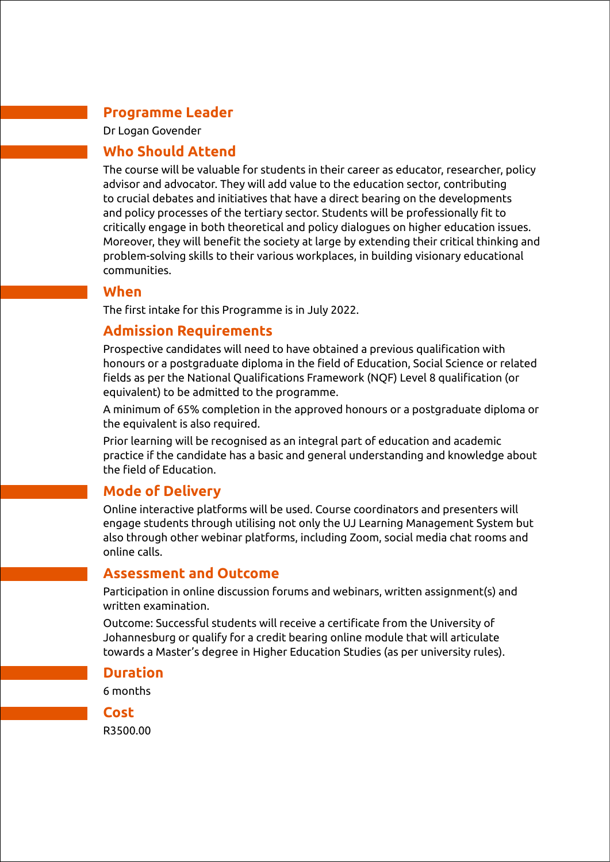## **Programme Leader**

Dr Logan Govender

## **Who Should Attend**

The course will be valuable for students in their career as educator, researcher, policy advisor and advocator. They will add value to the education sector, contributing to crucial debates and initiatives that have a direct bearing on the developments and policy processes of the tertiary sector. Students will be professionally fit to critically engage in both theoretical and policy dialogues on higher education issues. Moreover, they will benefit the society at large by extending their critical thinking and problem-solving skills to their various workplaces, in building visionary educational communities.

### **When**

The first intake for this Programme is in July 2022.

# **Admission Requirements**

Prospective candidates will need to have obtained a previous qualification with honours or a postgraduate diploma in the field of Education, Social Science or related fields as per the National Qualifications Framework (NQF) Level 8 qualification (or equivalent) to be admitted to the programme.

A minimum of 65% completion in the approved honours or a postgraduate diploma or the equivalent is also required.

Prior learning will be recognised as an integral part of education and academic practice if the candidate has a basic and general understanding and knowledge about the field of Education.

# **Mode of Delivery**

Online interactive platforms will be used. Course coordinators and presenters will engage students through utilising not only the UJ Learning Management System but also through other webinar platforms, including Zoom, social media chat rooms and online calls.

### **Assessment and Outcome**

Participation in online discussion forums and webinars, written assignment(s) and written examination.

Outcome: Successful students will receive a certificate from the University of Johannesburg or qualify for a credit bearing online module that will articulate towards a Master's degree in Higher Education Studies (as per university rules).

### **Duration**

6 months

**Cost**

R3500.00